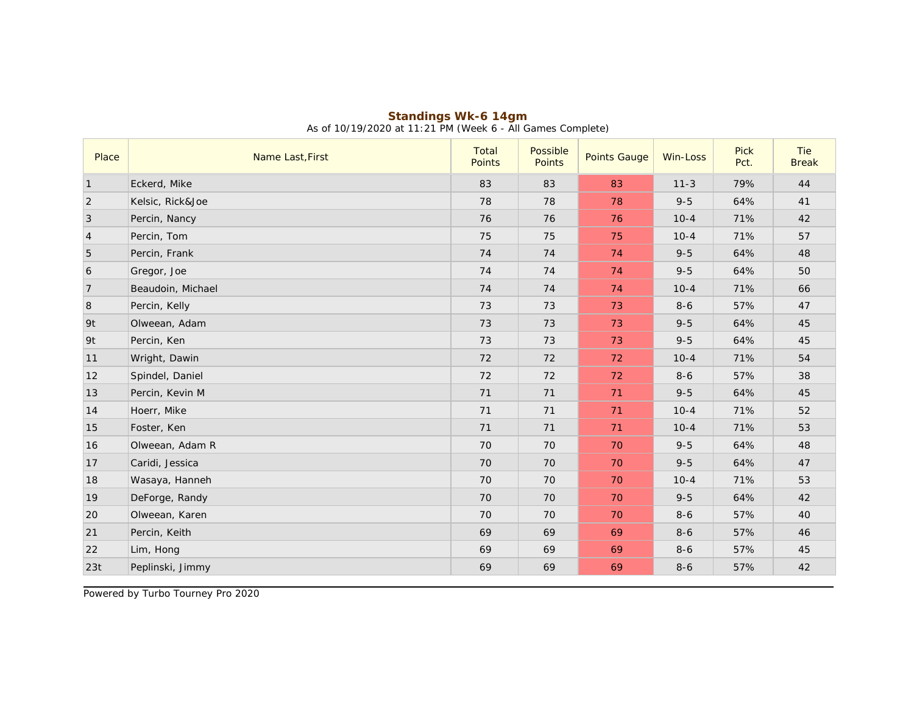| Place           | Name Last, First  | Total<br>Points | Possible<br><b>Points</b> | <b>Points Gauge</b> | Win-Loss | Pick<br>Pct. | Tie<br><b>Break</b> |
|-----------------|-------------------|-----------------|---------------------------|---------------------|----------|--------------|---------------------|
| $\vert$ 1       | Eckerd, Mike      | 83              | 83                        | 83                  | $11 - 3$ | 79%          | 44                  |
| 2               | Kelsic, Rick&Joe  | 78              | 78                        | 78                  | $9 - 5$  | 64%          | 41                  |
| $\vert 3 \vert$ | Percin, Nancy     | 76              | 76                        | 76                  | $10 - 4$ | 71%          | 42                  |
| $\vert 4$       | Percin, Tom       | 75              | 75                        | 75                  | $10 - 4$ | 71%          | 57                  |
| 5               | Percin, Frank     | 74              | 74                        | 74                  | $9 - 5$  | 64%          | 48                  |
| 6               | Gregor, Joe       | 74              | 74                        | 74                  | $9 - 5$  | 64%          | 50                  |
| 7               | Beaudoin, Michael | 74              | 74                        | 74                  | $10 - 4$ | 71%          | 66                  |
| 8               | Percin, Kelly     | 73              | 73                        | 73                  | $8 - 6$  | 57%          | 47                  |
| l 9t            | Olweean, Adam     | 73              | 73                        | 73                  | $9 - 5$  | 64%          | 45                  |
| 9t              | Percin, Ken       | 73              | 73                        | 73                  | $9 - 5$  | 64%          | 45                  |
| 11              | Wright, Dawin     | 72              | 72                        | 72                  | $10 - 4$ | 71%          | 54                  |
| 12              | Spindel, Daniel   | 72              | 72                        | 72                  | $8 - 6$  | 57%          | 38                  |
| 13              | Percin, Kevin M   | 71              | 71                        | 71                  | $9 - 5$  | 64%          | 45                  |
| 14              | Hoerr, Mike       | 71              | 71                        | 71                  | $10 - 4$ | 71%          | 52                  |
| 15              | Foster, Ken       | 71              | 71                        | 71                  | $10 - 4$ | 71%          | 53                  |
| 16              | Olweean, Adam R   | 70              | 70                        | 70                  | $9 - 5$  | 64%          | 48                  |
| 17              | Caridi, Jessica   | 70              | 70                        | 70                  | $9 - 5$  | 64%          | 47                  |
| 18              | Wasaya, Hanneh    | 70              | 70                        | 70                  | $10 - 4$ | 71%          | 53                  |
| 19              | DeForge, Randy    | 70              | 70                        | 70                  | $9 - 5$  | 64%          | 42                  |
| 20              | Olweean, Karen    | 70              | 70                        | 70                  | $8 - 6$  | 57%          | 40                  |
| 21              | Percin, Keith     | 69              | 69                        | 69                  | $8 - 6$  | 57%          | 46                  |
| 22              | Lim, Hong         | 69              | 69                        | 69                  | $8 - 6$  | 57%          | 45                  |
| 23t             | Peplinski, Jimmy  | 69              | 69                        | 69                  | $8 - 6$  | 57%          | 42                  |

## **Standings Wk-6 14gm** As of 10/19/2020 at 11:21 PM (Week 6 - All Games Complete)

Powered by Turbo Tourney Pro 2020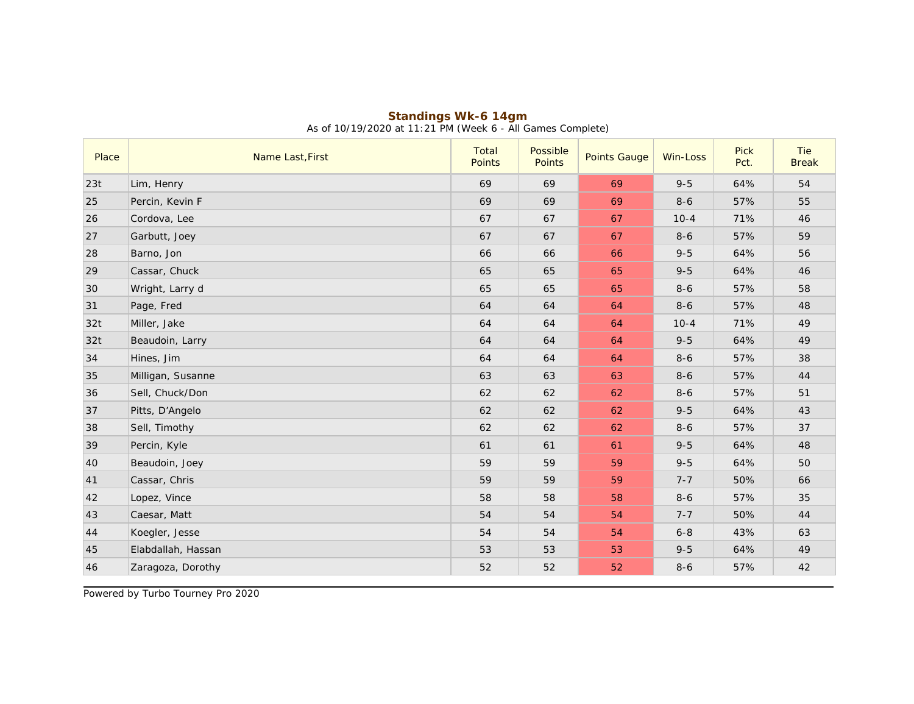| Place | Name Last, First   | Total<br>Points | Possible<br>Points | <b>Points Gauge</b> | Win-Loss | <b>Pick</b><br>Pct. | Tie<br><b>Break</b> |
|-------|--------------------|-----------------|--------------------|---------------------|----------|---------------------|---------------------|
| 23t   | Lim, Henry         | 69              | 69                 | 69                  | $9 - 5$  | 64%                 | 54                  |
| 25    | Percin, Kevin F    | 69              | 69                 | 69                  | $8-6$    | 57%                 | 55                  |
| 26    | Cordova, Lee       | 67              | 67                 | 67                  | $10 - 4$ | 71%                 | 46                  |
| 27    | Garbutt, Joey      | 67              | 67                 | 67                  | $8 - 6$  | 57%                 | 59                  |
| 28    | Barno, Jon         | 66              | 66                 | 66                  | $9 - 5$  | 64%                 | 56                  |
| 29    | Cassar, Chuck      | 65              | 65                 | 65                  | $9 - 5$  | 64%                 | 46                  |
| 30    | Wright, Larry d    | 65              | 65                 | 65                  | $8 - 6$  | 57%                 | 58                  |
| 31    | Page, Fred         | 64              | 64                 | 64                  | $8-6$    | 57%                 | 48                  |
| 32t   | Miller, Jake       | 64              | 64                 | 64                  | $10 - 4$ | 71%                 | 49                  |
| 32t   | Beaudoin, Larry    | 64              | 64                 | 64                  | $9 - 5$  | 64%                 | 49                  |
| 34    | Hines, Jim         | 64              | 64                 | 64                  | $8-6$    | 57%                 | 38                  |
| 35    | Milligan, Susanne  | 63              | 63                 | 63                  | $8-6$    | 57%                 | 44                  |
| 36    | Sell, Chuck/Don    | 62              | 62                 | 62                  | $8 - 6$  | 57%                 | 51                  |
| 37    | Pitts, D'Angelo    | 62              | 62                 | 62                  | $9 - 5$  | 64%                 | 43                  |
| 38    | Sell, Timothy      | 62              | 62                 | 62                  | $8-6$    | 57%                 | 37                  |
| 39    | Percin, Kyle       | 61              | 61                 | 61                  | $9 - 5$  | 64%                 | 48                  |
| 40    | Beaudoin, Joey     | 59              | 59                 | 59                  | $9 - 5$  | 64%                 | 50                  |
| 41    | Cassar, Chris      | 59              | 59                 | 59                  | $7 - 7$  | 50%                 | 66                  |
| 42    | Lopez, Vince       | 58              | 58                 | 58                  | $8 - 6$  | 57%                 | 35                  |
| 43    | Caesar, Matt       | 54              | 54                 | 54                  | $7 - 7$  | 50%                 | 44                  |
| 44    | Koegler, Jesse     | 54              | 54                 | 54                  | $6 - 8$  | 43%                 | 63                  |
| 45    | Elabdallah, Hassan | 53              | 53                 | 53                  | $9 - 5$  | 64%                 | 49                  |
| 46    | Zaragoza, Dorothy  | 52              | 52                 | 52                  | $8 - 6$  | 57%                 | 42                  |

## **Standings Wk-6 14gm** As of 10/19/2020 at 11:21 PM (Week 6 - All Games Complete)

Powered by Turbo Tourney Pro 2020